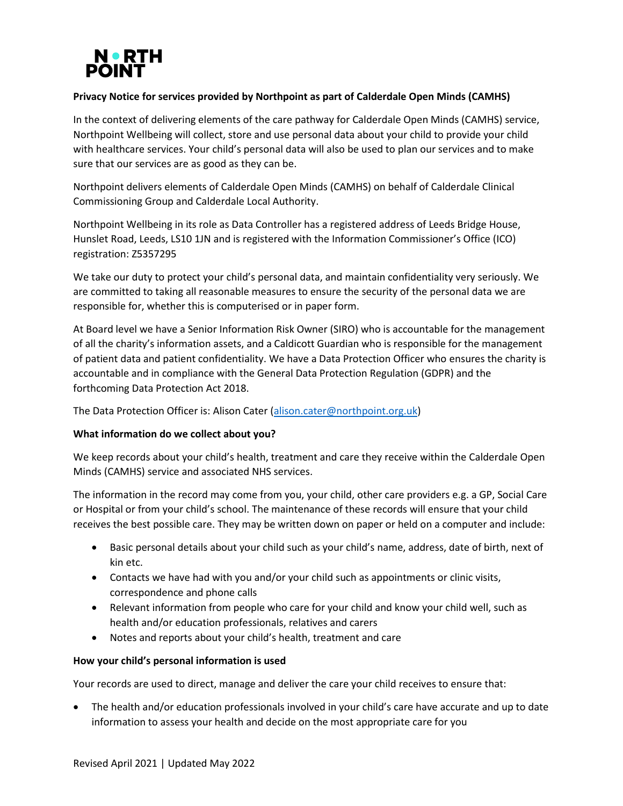

# **Privacy Notice for services provided by Northpoint as part of Calderdale Open Minds (CAMHS)**

In the context of delivering elements of the care pathway for Calderdale Open Minds (CAMHS) service, Northpoint Wellbeing will collect, store and use personal data about your child to provide your child with healthcare services. Your child's personal data will also be used to plan our services and to make sure that our services are as good as they can be.

Northpoint delivers elements of Calderdale Open Minds (CAMHS) on behalf of Calderdale Clinical Commissioning Group and Calderdale Local Authority.

Northpoint Wellbeing in its role as Data Controller has a registered address of Leeds Bridge House, Hunslet Road, Leeds, LS10 1JN and is registered with the Information Commissioner's Office (ICO) registration: Z5357295

We take our duty to protect your child's personal data, and maintain confidentiality very seriously. We are committed to taking all reasonable measures to ensure the security of the personal data we are responsible for, whether this is computerised or in paper form.

At Board level we have a Senior Information Risk Owner (SIRO) who is accountable for the management of all the charity's information assets, and a Caldicott Guardian who is responsible for the management of patient data and patient confidentiality. We have a Data Protection Officer who ensures the charity is accountable and in compliance with the General Data Protection Regulation (GDPR) and the forthcoming Data Protection Act 2018.

The Data Protection Officer is: Alison Cater [\(alison.cater@northpoint.org.uk\)](mailto:alison.cater@northpoint.org.uk)

# **What information do we collect about you?**

We keep records about your child's health, treatment and care they receive within the Calderdale Open Minds (CAMHS) service and associated NHS services.

The information in the record may come from you, your child, other care providers e.g. a GP, Social Care or Hospital or from your child's school. The maintenance of these records will ensure that your child receives the best possible care. They may be written down on paper or held on a computer and include:

- Basic personal details about your child such as your child's name, address, date of birth, next of kin etc.
- Contacts we have had with you and/or your child such as appointments or clinic visits, correspondence and phone calls
- Relevant information from people who care for your child and know your child well, such as health and/or education professionals, relatives and carers
- Notes and reports about your child's health, treatment and care

# **How your child's personal information is used**

Your records are used to direct, manage and deliver the care your child receives to ensure that:

• The health and/or education professionals involved in your child's care have accurate and up to date information to assess your health and decide on the most appropriate care for you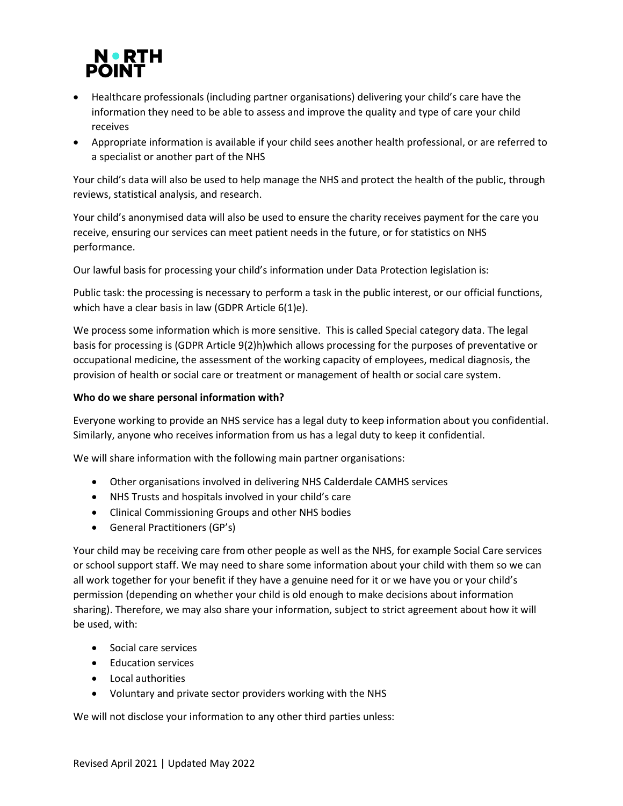

- Healthcare professionals (including partner organisations) delivering your child's care have the information they need to be able to assess and improve the quality and type of care your child receives
- Appropriate information is available if your child sees another health professional, or are referred to a specialist or another part of the NHS

Your child's data will also be used to help manage the NHS and protect the health of the public, through reviews, statistical analysis, and research.

Your child's anonymised data will also be used to ensure the charity receives payment for the care you receive, ensuring our services can meet patient needs in the future, or for statistics on NHS performance.

Our lawful basis for processing your child's information under Data Protection legislation is:

Public task: the processing is necessary to perform a task in the public interest, or our official functions, which have a clear basis in law (GDPR Article 6(1)e).

We process some information which is more sensitive. This is called Special category data. The legal basis for processing is (GDPR Article 9(2)h)which allows processing for the purposes of preventative or occupational medicine, the assessment of the working capacity of employees, medical diagnosis, the provision of health or social care or treatment or management of health or social care system.

# **Who do we share personal information with?**

Everyone working to provide an NHS service has a legal duty to keep information about you confidential. Similarly, anyone who receives information from us has a legal duty to keep it confidential.

We will share information with the following main partner organisations:

- Other organisations involved in delivering NHS Calderdale CAMHS services
- NHS Trusts and hospitals involved in your child's care
- Clinical Commissioning Groups and other NHS bodies
- General Practitioners (GP's)

Your child may be receiving care from other people as well as the NHS, for example Social Care services or school support staff. We may need to share some information about your child with them so we can all work together for your benefit if they have a genuine need for it or we have you or your child's permission (depending on whether your child is old enough to make decisions about information sharing). Therefore, we may also share your information, subject to strict agreement about how it will be used, with:

- Social care services
- Education services
- Local authorities
- Voluntary and private sector providers working with the NHS

We will not disclose your information to any other third parties unless: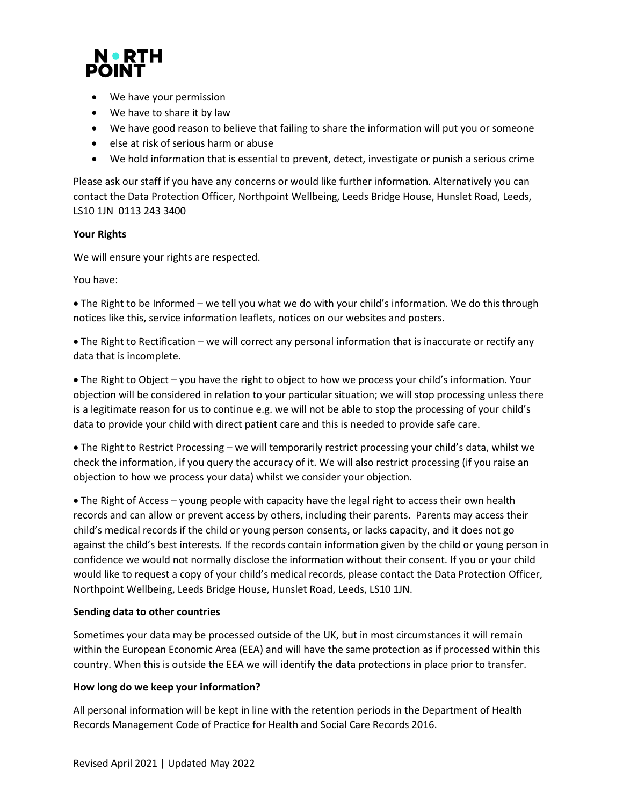

- We have your permission
- We have to share it by law
- We have good reason to believe that failing to share the information will put you or someone
- else at risk of serious harm or abuse
- We hold information that is essential to prevent, detect, investigate or punish a serious crime

Please ask our staff if you have any concerns or would like further information. Alternatively you can contact the Data Protection Officer, Northpoint Wellbeing, Leeds Bridge House, Hunslet Road, Leeds, LS10 1JN 0113 243 3400

#### **Your Rights**

We will ensure your rights are respected.

You have:

• The Right to be Informed – we tell you what we do with your child's information. We do this through notices like this, service information leaflets, notices on our websites and posters.

• The Right to Rectification – we will correct any personal information that is inaccurate or rectify any data that is incomplete.

• The Right to Object – you have the right to object to how we process your child's information. Your objection will be considered in relation to your particular situation; we will stop processing unless there is a legitimate reason for us to continue e.g. we will not be able to stop the processing of your child's data to provide your child with direct patient care and this is needed to provide safe care.

• The Right to Restrict Processing – we will temporarily restrict processing your child's data, whilst we check the information, if you query the accuracy of it. We will also restrict processing (if you raise an objection to how we process your data) whilst we consider your objection.

• The Right of Access – young people with capacity have the legal right to access their own health records and can allow or prevent access by others, including their parents. Parents may access their child's medical records if the child or young person consents, or lacks capacity, and it does not go against the child's best interests. If the records contain information given by the child or young person in confidence we would not normally disclose the information without their consent. If you or your child would like to request a copy of your child's medical records, please contact the Data Protection Officer, Northpoint Wellbeing, Leeds Bridge House, Hunslet Road, Leeds, LS10 1JN.

#### **Sending data to other countries**

Sometimes your data may be processed outside of the UK, but in most circumstances it will remain within the European Economic Area (EEA) and will have the same protection as if processed within this country. When this is outside the EEA we will identify the data protections in place prior to transfer.

# **How long do we keep your information?**

All personal information will be kept in line with the retention periods in the Department of Health Records Management Code of Practice for Health and Social Care Records 2016.